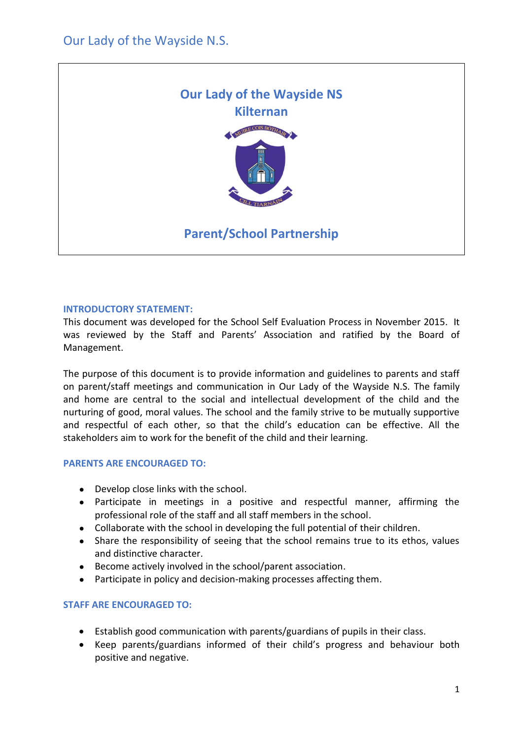

### **INTRODUCTORY STATEMENT:**

This document was developed for the School Self Evaluation Process in November 2015. It was reviewed by the Staff and Parents' Association and ratified by the Board of Management.

The purpose of this document is to provide information and guidelines to parents and staff on parent/staff meetings and communication in Our Lady of the Wayside N.S. The family and home are central to the social and intellectual development of the child and the nurturing of good, moral values. The school and the family strive to be mutually supportive and respectful of each other, so that the child's education can be effective. All the stakeholders aim to work for the benefit of the child and their learning.

## **PARENTS ARE ENCOURAGED TO:**

- Develop close links with the school.
- Participate in meetings in a positive and respectful manner, affirming the professional role of the staff and all staff members in the school.
- Collaborate with the school in developing the full potential of their children.
- Share the responsibility of seeing that the school remains true to its ethos, values and distinctive character.
- Become actively involved in the school/parent association.
- Participate in policy and decision-making processes affecting them.

#### **STAFF ARE ENCOURAGED TO:**

- Establish good communication with parents/guardians of pupils in their class.
- Keep parents/guardians informed of their child's progress and behaviour both positive and negative.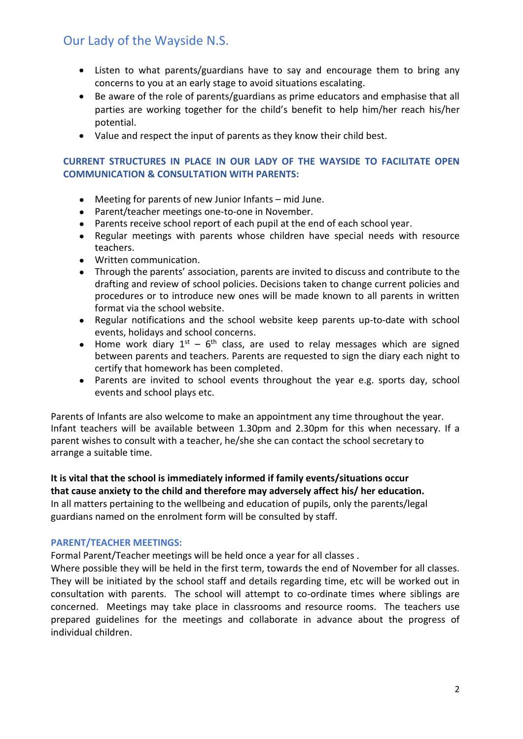# Our Lady of the Wayside N.S.

- Listen to what parents/guardians have to say and encourage them to bring any concerns to you at an early stage to avoid situations escalating.
- Be aware of the role of parents/guardians as prime educators and emphasise that all parties are working together for the child's benefit to help him/her reach his/her potential.
- Value and respect the input of parents as they know their child best.

### **CURRENT STRUCTURES IN PLACE IN OUR LADY OF THE WAYSIDE TO FACILITATE OPEN COMMUNICATION & CONSULTATION WITH PARENTS:**

- Meeting for parents of new Junior Infants mid June.
- Parent/teacher meetings one-to-one in November.
- Parents receive school report of each pupil at the end of each school year.
- Regular meetings with parents whose children have special needs with resource teachers.
- Written communication.
- Through the parents' association, parents are invited to discuss and contribute to the drafting and review of school policies. Decisions taken to change current policies and procedures or to introduce new ones will be made known to all parents in written format via the school website.
- Regular notifications and the school website keep parents up-to-date with school events, holidays and school concerns.
- Home work diary  $1^{st}$  6<sup>th</sup> class, are used to relay messages which are signed between parents and teachers. Parents are requested to sign the diary each night to certify that homework has been completed.
- Parents are invited to school events throughout the year e.g. sports day, school events and school plays etc.

Parents of Infants are also welcome to make an appointment any time throughout the year. Infant teachers will be available between 1.30pm and 2.30pm for this when necessary. If a parent wishes to consult with a teacher, he/she she can contact the school secretary to arrange a suitable time.

**It is vital that the school is immediately informed if family events/situations occur that cause anxiety to the child and therefore may adversely affect his/ her education.** In all matters pertaining to the wellbeing and education of pupils, only the parents/legal guardians named on the enrolment form will be consulted by staff.

### **PARENT/TEACHER MEETINGS:**

Formal Parent/Teacher meetings will be held once a year for all classes .

Where possible they will be held in the first term, towards the end of November for all classes. They will be initiated by the school staff and details regarding time, etc will be worked out in consultation with parents. The school will attempt to co-ordinate times where siblings are concerned. Meetings may take place in classrooms and resource rooms. The teachers use prepared guidelines for the meetings and collaborate in advance about the progress of individual children.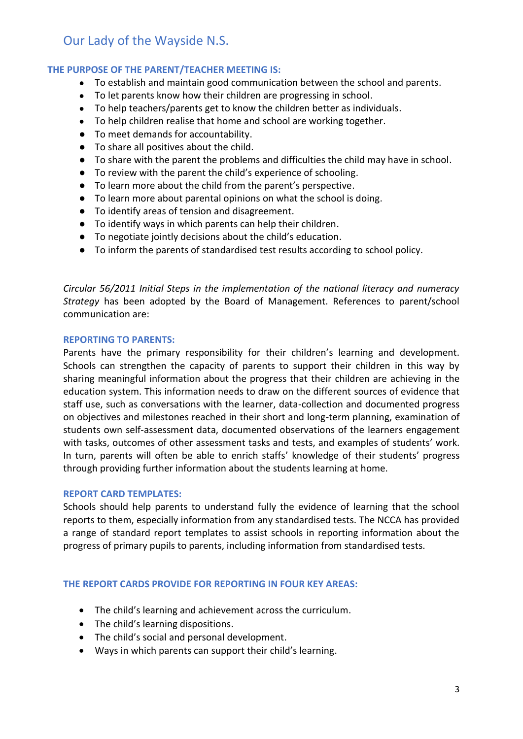# Our Lady of the Wayside N.S.

## **THE PURPOSE OF THE PARENT/TEACHER MEETING IS:**

- To establish and maintain good communication between the school and parents.
- To let parents know how their children are progressing in school.
- To help teachers/parents get to know the children better as individuals.
- To help children realise that home and school are working together.
- To meet demands for accountability.
- To share all positives about the child.
- To share with the parent the problems and difficulties the child may have in school.
- To review with the parent the child's experience of schooling.
- To learn more about the child from the parent's perspective.
- To learn more about parental opinions on what the school is doing.
- To identify areas of tension and disagreement.
- To identify ways in which parents can help their children.
- To negotiate jointly decisions about the child's education.
- To inform the parents of standardised test results according to school policy.

*Circular 56/2011 Initial Steps in the implementation of the national literacy and numeracy Strategy* has been adopted by the Board of Management. References to parent/school communication are:

#### **REPORTING TO PARENTS:**

Parents have the primary responsibility for their children's learning and development. Schools can strengthen the capacity of parents to support their children in this way by sharing meaningful information about the progress that their children are achieving in the education system. This information needs to draw on the different sources of evidence that staff use, such as conversations with the learner, data-collection and documented progress on objectives and milestones reached in their short and long-term planning, examination of students own self-assessment data, documented observations of the learners engagement with tasks, outcomes of other assessment tasks and tests, and examples of students' work. In turn, parents will often be able to enrich staffs' knowledge of their students' progress through providing further information about the students learning at home.

#### **REPORT CARD TEMPLATES:**

Schools should help parents to understand fully the evidence of learning that the school reports to them, especially information from any standardised tests. The NCCA has provided a range of standard report templates to assist schools in reporting information about the progress of primary pupils to parents, including information from standardised tests.

#### **THE REPORT CARDS PROVIDE FOR REPORTING IN FOUR KEY AREAS:**

- The child's learning and achievement across the curriculum.
- The child's learning dispositions.
- The child's social and personal development.
- Ways in which parents can support their child's learning.